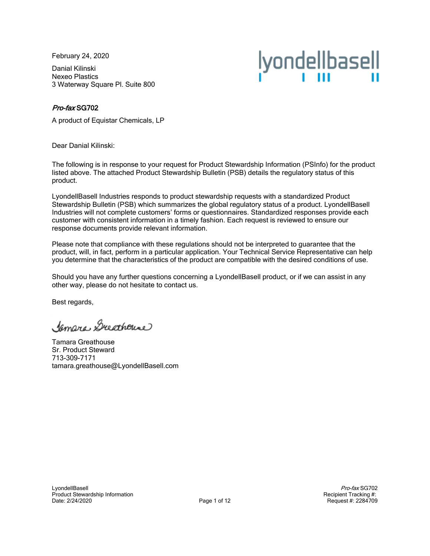February 24, 2020

Danial Kilinski Nexeo Plastics 3 Waterway Square Pl. Suite 800



## Pro-fax SG702

A product of Equistar Chemicals, LP

Dear Danial Kilinski:

The following is in response to your request for Product Stewardship Information (PSInfo) for the product listed above. The attached Product Stewardship Bulletin (PSB) details the regulatory status of this product.

LyondellBasell Industries responds to product stewardship requests with a standardized Product Stewardship Bulletin (PSB) which summarizes the global regulatory status of a product. LyondellBasell Industries will not complete customers' forms or questionnaires. Standardized responses provide each customer with consistent information in a timely fashion. Each request is reviewed to ensure our response documents provide relevant information.

Please note that compliance with these regulations should not be interpreted to guarantee that the product, will, in fact, perform in a particular application. Your Technical Service Representative can help you determine that the characteristics of the product are compatible with the desired conditions of use.

Should you have any further questions concerning a LyondellBasell product, or if we can assist in any other way, please do not hesitate to contact us.

Best regards,

Jamara Ducathouse

Tamara Greathouse Sr. Product Steward 713-309-7171 tamara.greathouse@LyondellBasell.com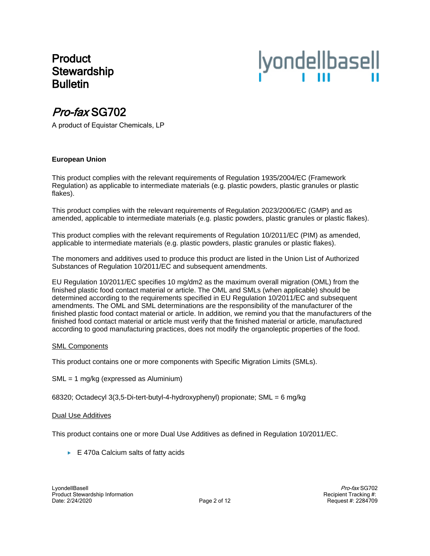## Product **Stewardship Bulletin**



# Pro-fax SG702

A product of Equistar Chemicals, LP

## **European Union**

This product complies with the relevant requirements of Regulation 1935/2004/EC (Framework Regulation) as applicable to intermediate materials (e.g. plastic powders, plastic granules or plastic flakes).

This product complies with the relevant requirements of Regulation 2023/2006/EC (GMP) and as amended, applicable to intermediate materials (e.g. plastic powders, plastic granules or plastic flakes).

This product complies with the relevant requirements of Regulation 10/2011/EC (PIM) as amended, applicable to intermediate materials (e.g. plastic powders, plastic granules or plastic flakes).

The monomers and additives used to produce this product are listed in the Union List of Authorized Substances of Regulation 10/2011/EC and subsequent amendments.

EU Regulation 10/2011/EC specifies 10 mg/dm2 as the maximum overall migration (OML) from the finished plastic food contact material or article. The OML and SMLs (when applicable) should be determined according to the requirements specified in EU Regulation 10/2011/EC and subsequent amendments. The OML and SML determinations are the responsibility of the manufacturer of the finished plastic food contact material or article. In addition, we remind you that the manufacturers of the finished food contact material or article must verify that the finished material or article, manufactured according to good manufacturing practices, does not modify the organoleptic properties of the food.

## SML Components

This product contains one or more components with Specific Migration Limits (SMLs).

SML = 1 mg/kg (expressed as Aluminium)

68320; Octadecyl 3(3,5-Di-tert-butyl-4-hydroxyphenyl) propionate; SML = 6 mg/kg

#### Dual Use Additives

This product contains one or more Dual Use Additives as defined in Regulation 10/2011/EC.

 $\blacktriangleright$  E 470a Calcium salts of fatty acids

Pro-fax SG702 Recipient Tracking #: Request #: 2284709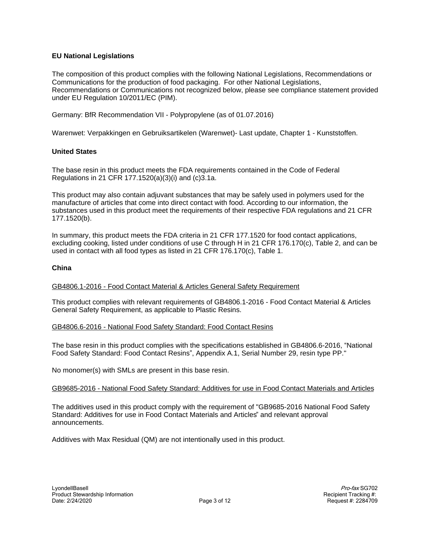## **EU National Legislations**

The composition of this product complies with the following National Legislations, Recommendations or Communications for the production of food packaging. For other National Legislations, Recommendations or Communications not recognized below, please see compliance statement provided under EU Regulation 10/2011/EC (PIM).

Germany: BfR Recommendation VII - Polypropylene (as of 01.07.2016)

Warenwet: Verpakkingen en Gebruiksartikelen (Warenwet)- Last update, Chapter 1 - Kunststoffen.

## **United States**

The base resin in this product meets the FDA requirements contained in the Code of Federal Regulations in 21 CFR 177.1520(a)(3)(i) and (c)3.1a.

This product may also contain adjuvant substances that may be safely used in polymers used for the manufacture of articles that come into direct contact with food. According to our information, the substances used in this product meet the requirements of their respective FDA regulations and 21 CFR 177.1520(b).

In summary, this product meets the FDA criteria in 21 CFR 177.1520 for food contact applications, excluding cooking, listed under conditions of use C through H in 21 CFR 176.170(c), Table 2, and can be used in contact with all food types as listed in 21 CFR 176.170(c), Table 1.

## **China**

#### GB4806.1-2016 - Food Contact Material & Articles General Safety Requirement

This product complies with relevant requirements of GB4806.1-2016 - Food Contact Material & Articles General Safety Requirement, as applicable to Plastic Resins.

#### GB4806.6-2016 - National Food Safety Standard: Food Contact Resins

The base resin in this product complies with the specifications established in GB4806.6-2016, "National Food Safety Standard: Food Contact Resins", Appendix A.1, Serial Number 29, resin type PP."

No monomer(s) with SMLs are present in this base resin.

#### GB9685-2016 - National Food Safety Standard: Additives for use in Food Contact Materials and Articles

The additives used in this product comply with the requirement of "GB9685-2016 National Food Safety Standard: Additives for use in Food Contact Materials and Articles" and relevant approval announcements.

Additives with Max Residual (QM) are not intentionally used in this product.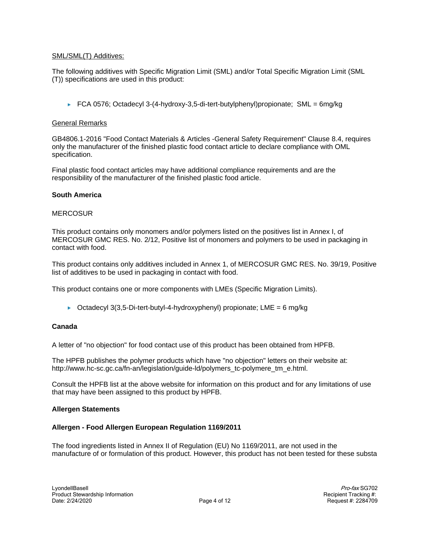## SML/SML(T) Additives:

The following additives with Specific Migration Limit (SML) and/or Total Specific Migration Limit (SML (T)) specifications are used in this product:

FCA 0576; Octadecyl 3-(4-hydroxy-3,5-di-tert-butylphenyl)propionate; SML = 6mg/kg

### General Remarks

GB4806.1-2016 "Food Contact Materials & Articles -General Safety Requirement" Clause 8.4, requires only the manufacturer of the finished plastic food contact article to declare compliance with OML specification.

Final plastic food contact articles may have additional compliance requirements and are the responsibility of the manufacturer of the finished plastic food article.

## **South America**

#### **MERCOSUR**

This product contains only monomers and/or polymers listed on the positives list in Annex I, of MERCOSUR GMC RES. No. 2/12, Positive list of monomers and polymers to be used in packaging in contact with food.

This product contains only additives included in Annex 1, of MERCOSUR GMC RES. No. 39/19, Positive list of additives to be used in packaging in contact with food.

This product contains one or more components with LMEs (Specific Migration Limits).

► Octadecyl 3(3,5-Di-tert-butyl-4-hydroxyphenyl) propionate; LME = 6 mg/kg

#### **Canada**

A letter of "no objection" for food contact use of this product has been obtained from HPFB.

The HPFB publishes the polymer products which have "no objection" letters on their website at: http://www.hc-sc.gc.ca/fn-an/legislation/guide-ld/polymers\_tc-polymere\_tm\_e.html.

Consult the HPFB list at the above website for information on this product and for any limitations of use that may have been assigned to this product by HPFB.

## **Allergen Statements**

#### **Allergen - Food Allergen European Regulation 1169/2011**

The food ingredients listed in Annex II of Regulation (EU) No 1169/2011, are not used in the manufacture of or formulation of this product. However, this product has not been tested for these substa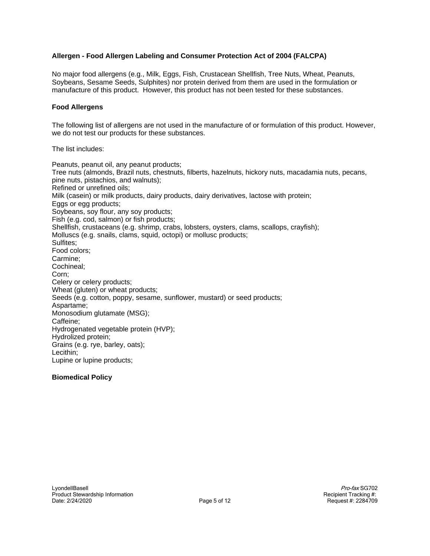## **Allergen - Food Allergen Labeling and Consumer Protection Act of 2004 (FALCPA)**

No major food allergens (e.g., Milk, Eggs, Fish, Crustacean Shellfish, Tree Nuts, Wheat, Peanuts, Soybeans, Sesame Seeds, Sulphites) nor protein derived from them are used in the formulation or manufacture of this product. However, this product has not been tested for these substances.

#### **Food Allergens**

The following list of allergens are not used in the manufacture of or formulation of this product. However, we do not test our products for these substances.

The list includes:

Peanuts, peanut oil, any peanut products; Tree nuts (almonds, Brazil nuts, chestnuts, filberts, hazelnuts, hickory nuts, macadamia nuts, pecans, pine nuts, pistachios, and walnuts); Refined or unrefined oils; Milk (casein) or milk products, dairy products, dairy derivatives, lactose with protein; Eggs or egg products; Soybeans, soy flour, any soy products; Fish (e.g. cod, salmon) or fish products; Shellfish, crustaceans (e.g. shrimp, crabs, lobsters, oysters, clams, scallops, crayfish); Molluscs (e.g. snails, clams, squid, octopi) or mollusc products; Sulfites; Food colors; Carmine; Cochineal; Corn; Celery or celery products; Wheat (gluten) or wheat products; Seeds (e.g. cotton, poppy, sesame, sunflower, mustard) or seed products; Aspartame; Monosodium glutamate (MSG); Caffeine; Hydrogenated vegetable protein (HVP); Hydrolized protein; Grains (e.g. rye, barley, oats); Lecithin; Lupine or lupine products;

#### **Biomedical Policy**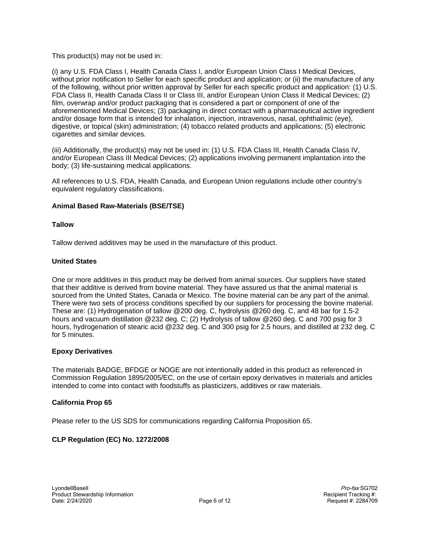This product(s) may not be used in:

(i) any U.S. FDA Class I, Health Canada Class I, and/or European Union Class I Medical Devices, without prior notification to Seller for each specific product and application; or (ii) the manufacture of any of the following, without prior written approval by Seller for each specific product and application: (1) U.S. FDA Class II, Health Canada Class II or Class III, and/or European Union Class II Medical Devices; (2) film, overwrap and/or product packaging that is considered a part or component of one of the aforementioned Medical Devices; (3) packaging in direct contact with a pharmaceutical active ingredient and/or dosage form that is intended for inhalation, injection, intravenous, nasal, ophthalmic (eye), digestive, or topical (skin) administration; (4) tobacco related products and applications; (5) electronic cigarettes and similar devices.

(iii) Additionally, the product(s) may not be used in: (1) U.S. FDA Class III, Health Canada Class IV, and/or European Class III Medical Devices; (2) applications involving permanent implantation into the body; (3) life-sustaining medical applications.

All references to U.S. FDA, Health Canada, and European Union regulations include other country's equivalent regulatory classifications.

## **Animal Based Raw-Materials (BSE/TSE)**

## **Tallow**

Tallow derived additives may be used in the manufacture of this product.

## **United States**

One or more additives in this product may be derived from animal sources. Our suppliers have stated that their additive is derived from bovine material. They have assured us that the animal material is sourced from the United States, Canada or Mexico. The bovine material can be any part of the animal. There were two sets of process conditions specified by our suppliers for processing the bovine material. These are: (1) Hydrogenation of tallow @200 deg. C, hydrolysis @260 deg. C, and 48 bar for 1.5-2 hours and vacuum distillation @232 deg. C; (2) Hydrolysis of tallow @260 deg. C and 700 psig for 3 hours, hydrogenation of stearic acid @232 deg. C and 300 psig for 2.5 hours, and distilled at 232 deg. C for 5 minutes.

#### **Epoxy Derivatives**

The materials BADGE, BFDGE or NOGE are not intentionally added in this product as referenced in Commission Regulation 1895/2005/EC, on the use of certain epoxy derivatives in materials and articles intended to come into contact with foodstuffs as plasticizers, additives or raw materials.

#### **California Prop 65**

Please refer to the US SDS for communications regarding California Proposition 65.

## **CLP Regulation (EC) No. 1272/2008**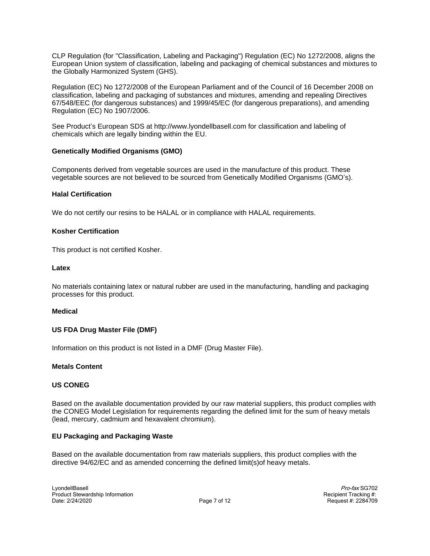CLP Regulation (for "Classification, Labeling and Packaging") Regulation (EC) No 1272/2008, aligns the European Union system of classification, labeling and packaging of chemical substances and mixtures to the Globally Harmonized System (GHS).

Regulation (EC) No 1272/2008 of the European Parliament and of the Council of 16 December 2008 on classification, labeling and packaging of substances and mixtures, amending and repealing Directives 67/548/EEC (for dangerous substances) and 1999/45/EC (for dangerous preparations), and amending Regulation (EC) No 1907/2006.

See Product's European SDS at http://www.lyondellbasell.com for classification and labeling of chemicals which are legally binding within the EU.

## **Genetically Modified Organisms (GMO)**

Components derived from vegetable sources are used in the manufacture of this product. These vegetable sources are not believed to be sourced from Genetically Modified Organisms (GMO's).

#### **Halal Certification**

We do not certify our resins to be HALAL or in compliance with HALAL requirements.

## **Kosher Certification**

This product is not certified Kosher.

#### **Latex**

No materials containing latex or natural rubber are used in the manufacturing, handling and packaging processes for this product.

#### **Medical**

#### **US FDA Drug Master File (DMF)**

Information on this product is not listed in a DMF (Drug Master File).

#### **Metals Content**

#### **US CONEG**

Based on the available documentation provided by our raw material suppliers, this product complies with the CONEG Model Legislation for requirements regarding the defined limit for the sum of heavy metals (lead, mercury, cadmium and hexavalent chromium).

#### **EU Packaging and Packaging Waste**

Based on the available documentation from raw materials suppliers, this product complies with the directive 94/62/EC and as amended concerning the defined limit(s)of heavy metals.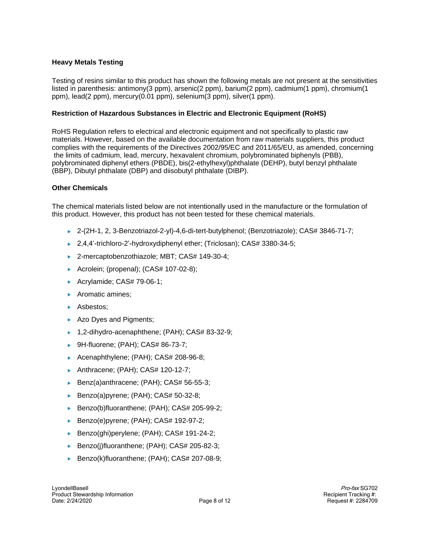## **Heavy Metals Testing**

Testing of resins similar to this product has shown the following metals are not present at the sensitivities listed in parenthesis: antimony(3 ppm), arsenic(2 ppm), barium(2 ppm), cadmium(1 ppm), chromium(1 ppm), lead(2 ppm), mercury(0.01 ppm), selenium(3 ppm), silver(1 ppm).

## **Restriction of Hazardous Substances in Electric and Electronic Equipment (RoHS)**

RoHS Regulation refers to electrical and electronic equipment and not specifically to plastic raw materials. However, based on the available documentation from raw materials suppliers, this product complies with the requirements of the Directives 2002/95/EC and 2011/65/EU, as amended, concerning the limits of cadmium, lead, mercury, hexavalent chromium, polybrominated biphenyls (PBB), polybrominated diphenyl ethers (PBDE), bis(2-ethylhexyl)phthalate (DEHP), butyl benzyl phthalate (BBP), Dibutyl phthalate (DBP) and diisobutyl phthalate (DIBP).

## **Other Chemicals**

The chemical materials listed below are not intentionally used in the manufacture or the formulation of this product. However, this product has not been tested for these chemical materials.

- 2-(2H-1, 2, 3-Benzotriazol-2-yl)-4,6-di-tert-butylphenol; (Benzotriazole); CAS# 3846-71-7;
- 2,4,4'-trichloro-2'-hydroxydiphenyl ether; (Triclosan); CAS# 3380-34-5;
- ▶ 2-mercaptobenzothiazole; MBT; CAS# 149-30-4;
- Acrolein; (propenal); (CAS# 107-02-8);
- Acrylamide; CAS# 79-06-1;
- Aromatic amines;
- Asbestos:
- Azo Dyes and Pigments;
- 1,2-dihydro-acenaphthene; (PAH); CAS# 83-32-9;
- 9H-fluorene: (PAH): CAS# 86-73-7:
- Acenaphthylene; (PAH); CAS# 208-96-8;
- ▶ Anthracene; (PAH); CAS# 120-12-7;
- Benz(a)anthracene; (PAH); CAS# 56-55-3;
- Benzo(a)pyrene; (PAH); CAS# 50-32-8;
- Benzo(b)fluoranthene; (PAH); CAS# 205-99-2;
- Benzo(e)pyrene; (PAH); CAS# 192-97-2;
- Benzo(ghi)perylene; (PAH); CAS# 191-24-2;
- Benzo(j)fluoranthene; (PAH); CAS# 205-82-3;
- Benzo(k)fluoranthene; (PAH); CAS# 207-08-9;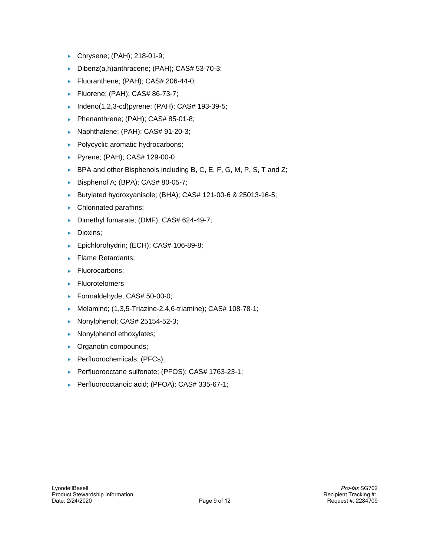- Chrysene; (PAH); 218-01-9;
- Dibenz(a,h)anthracene; (PAH); CAS# 53-70-3;
- Fluoranthene; (PAH); CAS# 206-44-0;
- Fluorene; (PAH); CAS# 86-73-7; Þ.
- Indeno(1,2,3-cd)pyrene; (PAH); CAS# 193-39-5;
- Phenanthrene; (PAH); CAS# 85-01-8;
- Naphthalene; (PAH); CAS# 91-20-3;
- Polycyclic aromatic hydrocarbons;
- Pyrene; (PAH); CAS# 129-00-0
- $\blacktriangleright$  BPA and other Bisphenols including B, C, E, F, G, M, P, S, T and Z;
- Bisphenol A; (BPA); CAS# 80-05-7;
- Butylated hydroxyanisole; (BHA); CAS# 121-00-6 & 25013-16-5;
- **Chlorinated paraffins;**
- Dimethyl fumarate; (DMF); CAS# 624-49-7;
- Dioxins;
- Epichlorohydrin; (ECH); CAS# 106-89-8;
- Flame Retardants;
- Fluorocarbons;
- $\blacktriangleright$  Fluorotelomers
- Formaldehyde; CAS# 50-00-0;
- Melamine; (1,3,5-Triazine-2,4,6-triamine); CAS# 108-78-1;
- ▶ Nonylphenol; CAS# 25154-52-3;
- Nonylphenol ethoxylates; b.
- **Organotin compounds;**
- Perfluorochemicals; (PFCs);
- Perfluorooctane sulfonate; (PFOS); CAS# 1763-23-1;
- Perfluorooctanoic acid; (PFOA); CAS# 335-67-1;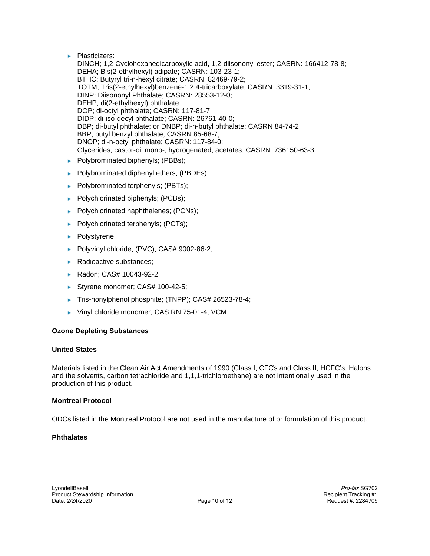**Plasticizers:** 

DINCH; 1,2-Cyclohexanedicarboxylic acid, 1,2-diisononyl ester; CASRN: 166412-78-8; DEHA; Bis(2-ethylhexyl) adipate; CASRN: 103-23-1; BTHC; Butyryl tri-n-hexyl citrate; CASRN: 82469-79-2; TOTM; Tris(2-ethylhexyl)benzene-1,2,4-tricarboxylate; CASRN: 3319-31-1; DINP; Diisononyl Phthalate; CASRN: 28553-12-0; DEHP; di(2-ethylhexyl) phthalate DOP; di-octyl phthalate; CASRN: 117-81-7; DIDP; di-iso-decyl phthalate; CASRN: 26761-40-0; DBP; di-butyl phthalate; or DNBP; di-n-butyl phthalate; CASRN 84-74-2; BBP; butyl benzyl phthalate; CASRN 85-68-7; DNOP; di-n-octyl phthalate; CASRN: 117-84-0; Glycerides, castor-oil mono-, hydrogenated, acetates; CASRN: 736150-63-3;

- $\blacktriangleright$  Polybrominated biphenyls; (PBBs);
- Polybrominated diphenyl ethers; (PBDEs);
- Polybrominated terphenyls; (PBTs);
- $\blacktriangleright$  Polychlorinated biphenyls; (PCBs);
- Polychlorinated naphthalenes; (PCNs);
- $\blacktriangleright$  Polychlorinated terphenyls; (PCTs);
- Polystyrene;
- Polyvinyl chloride; (PVC); CAS# 9002-86-2;
- ▶ Radioactive substances;
- ► Radon; CAS# 10043-92-2;
- Styrene monomer; CAS# 100-42-5;
- ► Tris-nonylphenol phosphite; (TNPP); CAS# 26523-78-4;
- Vinyl chloride monomer; CAS RN 75-01-4; VCM

## **Ozone Depleting Substances**

## **United States**

Materials listed in the Clean Air Act Amendments of 1990 (Class I, CFC's and Class II, HCFC's, Halons and the solvents, carbon tetrachloride and 1,1,1-trichloroethane) are not intentionally used in the production of this product.

## **Montreal Protocol**

ODCs listed in the Montreal Protocol are not used in the manufacture of or formulation of this product.

## **Phthalates**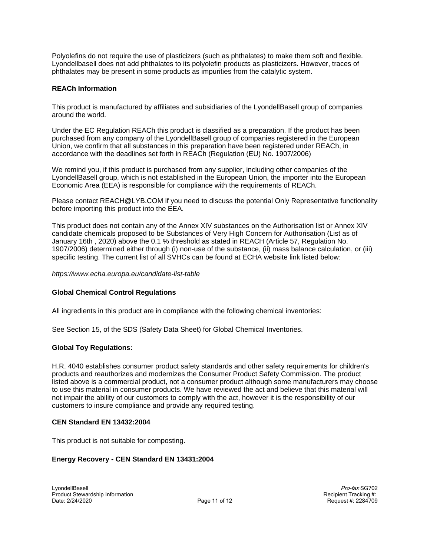Polyolefins do not require the use of plasticizers (such as phthalates) to make them soft and flexible. Lyondellbasell does not add phthalates to its polyolefin products as plasticizers. However, traces of phthalates may be present in some products as impurities from the catalytic system.

### **REACh Information**

This product is manufactured by affiliates and subsidiaries of the LyondellBasell group of companies around the world.

Under the EC Regulation REACh this product is classified as a preparation. If the product has been purchased from any company of the LyondellBasell group of companies registered in the European Union, we confirm that all substances in this preparation have been registered under REACh, in accordance with the deadlines set forth in REACh (Regulation (EU) No. 1907/2006)

We remind you, if this product is purchased from any supplier, including other companies of the LyondellBasell group, which is not established in the European Union, the importer into the European Economic Area (EEA) is responsible for compliance with the requirements of REACh.

Please contact REACH@LYB.COM if you need to discuss the potential Only Representative functionality before importing this product into the EEA.

This product does not contain any of the Annex XIV substances on the Authorisation list or Annex XIV candidate chemicals proposed to be Substances of Very High Concern for Authorisation (List as of January 16th , 2020) above the 0.1 % threshold as stated in REACH (Article 57, Regulation No. 1907/2006) determined either through (i) non-use of the substance, (ii) mass balance calculation, or (iii) specific testing. The current list of all SVHCs can be found at ECHA website link listed below:

https://www.echa.europa.eu/candidate-list-table

#### **Global Chemical Control Regulations**

All ingredients in this product are in compliance with the following chemical inventories:

See Section 15, of the SDS (Safety Data Sheet) for Global Chemical Inventories.

#### **Global Toy Regulations:**

H.R. 4040 establishes consumer product safety standards and other safety requirements for children's products and reauthorizes and modernizes the Consumer Product Safety Commission. The product listed above is a commercial product, not a consumer product although some manufacturers may choose to use this material in consumer products. We have reviewed the act and believe that this material will not impair the ability of our customers to comply with the act, however it is the responsibility of our customers to insure compliance and provide any required testing.

#### **CEN Standard EN 13432:2004**

This product is not suitable for composting.

#### **Energy Recovery - CEN Standard EN 13431:2004**